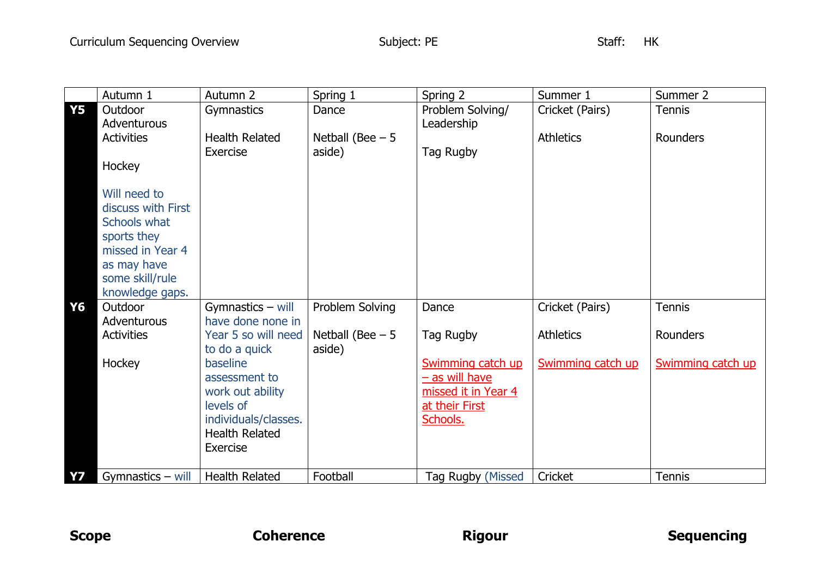|           | Autumn 1                                                                                                                                   | Autumn 2                  | Spring 1          | Spring 2                                | Summer 1          | Summer 2          |
|-----------|--------------------------------------------------------------------------------------------------------------------------------------------|---------------------------|-------------------|-----------------------------------------|-------------------|-------------------|
| <b>Y5</b> | Outdoor                                                                                                                                    | Gymnastics                | Dance             | Problem Solving/                        | Cricket (Pairs)   | <b>Tennis</b>     |
|           | Adventurous                                                                                                                                |                           |                   | Leadership                              |                   |                   |
|           | <b>Activities</b>                                                                                                                          | <b>Health Related</b>     | Netball (Bee $-5$ |                                         | <b>Athletics</b>  | <b>Rounders</b>   |
|           |                                                                                                                                            | Exercise                  | aside)            | Tag Rugby                               |                   |                   |
|           | Hockey                                                                                                                                     |                           |                   |                                         |                   |                   |
|           | Will need to<br>discuss with First<br>Schools what<br>sports they<br>missed in Year 4<br>as may have<br>some skill/rule<br>knowledge gaps. |                           |                   |                                         |                   |                   |
| Y6        | Outdoor                                                                                                                                    | Gymnastics $-$ will       | Problem Solving   | Dance                                   | Cricket (Pairs)   | Tennis            |
|           | Adventurous                                                                                                                                | have done none in         |                   |                                         |                   |                   |
|           | <b>Activities</b>                                                                                                                          | Year 5 so will need       | Netball (Bee $-5$ | Tag Rugby                               | <b>Athletics</b>  | <b>Rounders</b>   |
|           |                                                                                                                                            | to do a quick             | aside)            |                                         |                   |                   |
|           | Hockey                                                                                                                                     | baseline<br>assessment to |                   | Swimming catch up                       | Swimming catch up | Swimming catch up |
|           |                                                                                                                                            | work out ability          |                   | $-$ as will have<br>missed it in Year 4 |                   |                   |
|           |                                                                                                                                            | levels of                 |                   | at their First                          |                   |                   |
|           |                                                                                                                                            | individuals/classes.      |                   | Schools.                                |                   |                   |
|           |                                                                                                                                            | <b>Health Related</b>     |                   |                                         |                   |                   |
|           |                                                                                                                                            | <b>Exercise</b>           |                   |                                         |                   |                   |
|           |                                                                                                                                            |                           |                   |                                         |                   |                   |
| <b>Y7</b> | Gymnastics - will                                                                                                                          | <b>Health Related</b>     | Football          | Tag Rugby (Missed                       | Cricket           | <b>Tennis</b>     |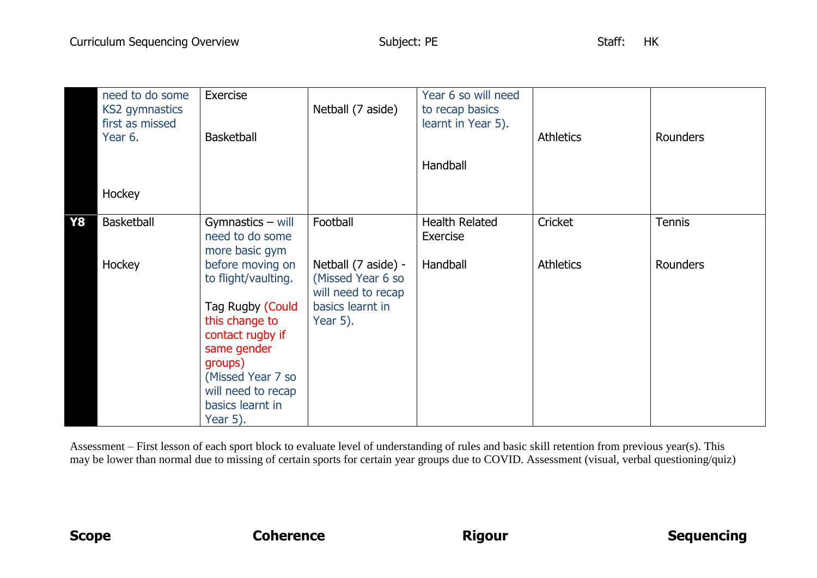|    | need to do some<br><b>KS2</b> gymnastics<br>first as missed<br>Year 6. | Exercise<br><b>Basketball</b>                                                                                                                                                                             | Netball (7 aside)                                                                              | Year 6 so will need<br>to recap basics<br>learnt in Year 5). | <b>Athletics</b> | Rounders        |
|----|------------------------------------------------------------------------|-----------------------------------------------------------------------------------------------------------------------------------------------------------------------------------------------------------|------------------------------------------------------------------------------------------------|--------------------------------------------------------------|------------------|-----------------|
|    |                                                                        |                                                                                                                                                                                                           |                                                                                                | Handball                                                     |                  |                 |
|    | Hockey                                                                 |                                                                                                                                                                                                           |                                                                                                |                                                              |                  |                 |
| Y8 | <b>Basketball</b>                                                      | Gymnastics $-$ will<br>need to do some<br>more basic gym                                                                                                                                                  | Football                                                                                       | <b>Health Related</b><br>Exercise                            | Cricket          | <b>Tennis</b>   |
|    | Hockey                                                                 | before moving on<br>to flight/vaulting.<br>Tag Rugby (Could<br>this change to<br>contact rugby if<br>same gender<br>groups)<br>(Missed Year 7 so<br>will need to recap<br>basics learnt in<br>Year $5$ ). | Netball (7 aside) -<br>(Missed Year 6 so<br>will need to recap<br>basics learnt in<br>Year 5). | Handball                                                     | <b>Athletics</b> | <b>Rounders</b> |

Assessment – First lesson of each sport block to evaluate level of understanding of rules and basic skill retention from previous year(s). This may be lower than normal due to missing of certain sports for certain year groups due to COVID. Assessment (visual, verbal questioning/quiz)